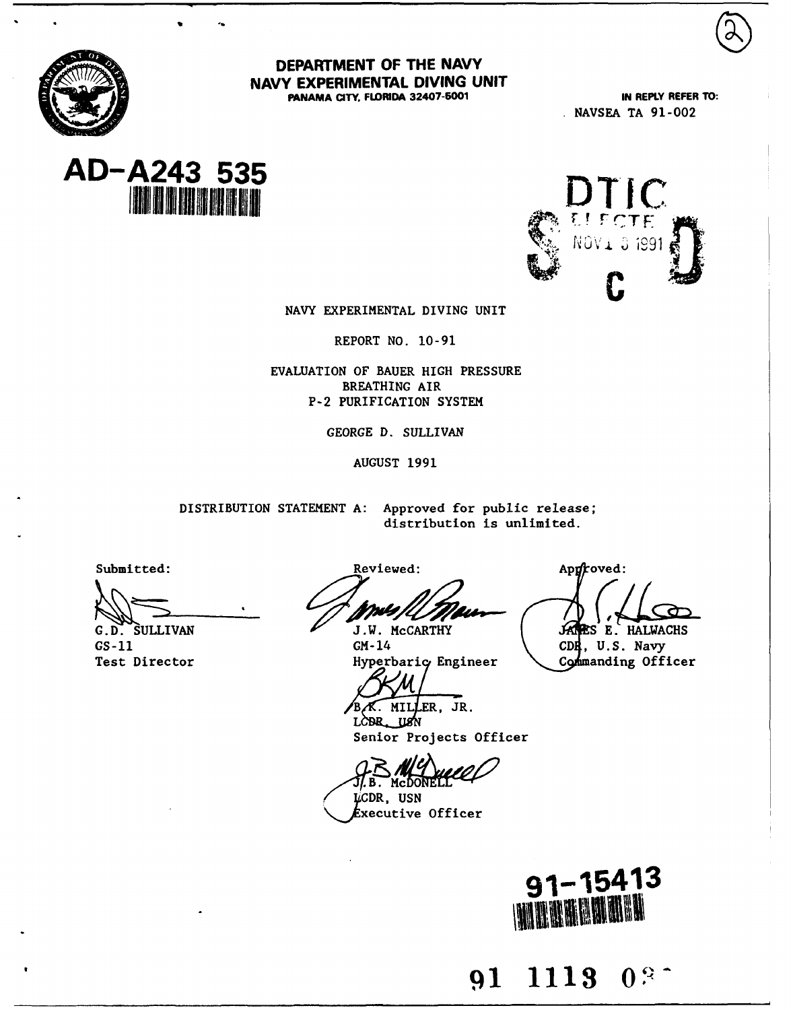

DEPARTMENT OF THE NAVY NAVY EXPERIMENTAL **DIVING UNIT FANAMA CITY, FLRIDA 32407-5001 IN REPLY REFER TO:**

**NAVSEA TA 91-002**





NAVY EXPERIMENTAL DIVING UNIT

REPORT NO. 10-91

EVALUATION OF BAUER HIGH PRESSURE BREATHING AIR **P-2** PURIFICATION SYSTEM

GEORGE D. SULLIVAN

AUGUST 1991

DISTRIBUTION **STATEMENT** A: Approved for public release; distribution is unlimited.

Submitted: Reviewed: **Applemix Contract Applemix** Applemix Applemix Applemix Applemix Applemix Applemix Applemix Applemix Applemix Applemix Applemix Applemix Applemix Applemix Applemix Applemix Applemix Applemix Applemix A

GS-11 **GM-14 CDE**, U.S. Navy Test Director **Figure 1** Hyperbaric Engineer **Commanding Officer** 

G.D. SULLIVAN J.W. McCARTHY **E. HALWACHS** 

 $B \times$  MILLER, JR. LOBR USN

Senior Projects Officer

J/. B . McDONEL.

Lexecutive Officer **USN**



**91 1113 0**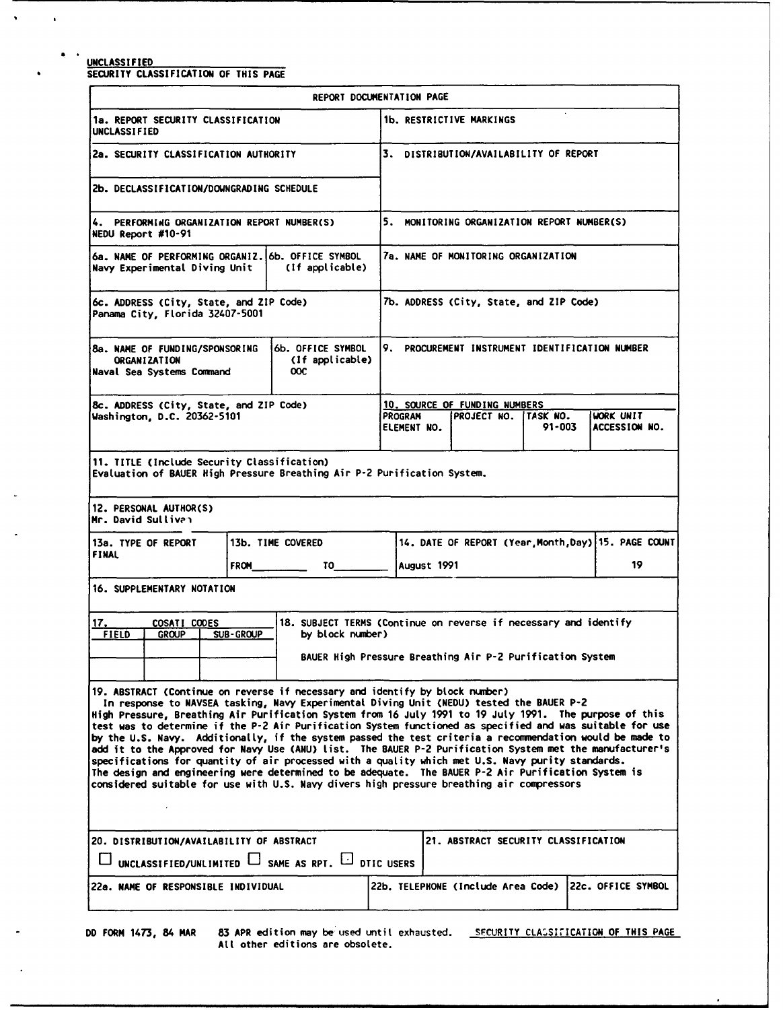### **UNCLASSIFIED**

 $\bullet$ 

 $\ddot{\phantom{a}}$ 

 $\bullet$  $\blacksquare$ 

SECURITY **CLASSIFICATION** OF **THIS PAGE**

|                                                                                                                                                                                                                                                                                                                                                                                                                                                                                                                                                                                                                                                                                                                                                                                                                                                                                                                                    | REPORT DOCUMENTATION PAGE                                                                                                                         |  |                               |                                                         |            |                                                            |
|------------------------------------------------------------------------------------------------------------------------------------------------------------------------------------------------------------------------------------------------------------------------------------------------------------------------------------------------------------------------------------------------------------------------------------------------------------------------------------------------------------------------------------------------------------------------------------------------------------------------------------------------------------------------------------------------------------------------------------------------------------------------------------------------------------------------------------------------------------------------------------------------------------------------------------|---------------------------------------------------------------------------------------------------------------------------------------------------|--|-------------------------------|---------------------------------------------------------|------------|------------------------------------------------------------|
| 1a. REPORT SECURITY CLASSIFICATION<br><b>UNCLASSIFIED</b>                                                                                                                                                                                                                                                                                                                                                                                                                                                                                                                                                                                                                                                                                                                                                                                                                                                                          |                                                                                                                                                   |  |                               | 1b. RESTRICTIVE MARKINGS                                |            |                                                            |
| 2a. SECURITY CLASSIFICATION AUTHORITY                                                                                                                                                                                                                                                                                                                                                                                                                                                                                                                                                                                                                                                                                                                                                                                                                                                                                              |                                                                                                                                                   |  |                               | 3. DISTRIBUTION/AVAILABILITY OF REPORT                  |            |                                                            |
| 2b. DECLASSIFICATION/DOWNGRADING SCHEDULE                                                                                                                                                                                                                                                                                                                                                                                                                                                                                                                                                                                                                                                                                                                                                                                                                                                                                          |                                                                                                                                                   |  |                               |                                                         |            |                                                            |
| 4. PERFORMING ORGANIZATION REPORT NUMBER(S)<br>NEDU Report #10-91                                                                                                                                                                                                                                                                                                                                                                                                                                                                                                                                                                                                                                                                                                                                                                                                                                                                  |                                                                                                                                                   |  |                               | 5. MONITORING ORGANIZATION REPORT NUMBER(S)             |            |                                                            |
| 6a. NAME OF PERFORMING ORGANIZ. 6b. OFFICE SYMBOL<br>Navy Experimental Diving Unit                                                                                                                                                                                                                                                                                                                                                                                                                                                                                                                                                                                                                                                                                                                                                                                                                                                 | (If applicable)                                                                                                                                   |  |                               | 7a. NAME OF MONITORING ORGANIZATION                     |            |                                                            |
| 6c. ADDRESS (City, State, and ZIP Code)<br>Panama City, Florida 32407-5001                                                                                                                                                                                                                                                                                                                                                                                                                                                                                                                                                                                                                                                                                                                                                                                                                                                         |                                                                                                                                                   |  |                               | 7b. ADDRESS (City, State, and ZIP Code)                 |            |                                                            |
| <b>8a. NAME OF FUNDING/SPONSORING</b><br><b>ORGANIZATION</b><br>Naval Sea Systems Command                                                                                                                                                                                                                                                                                                                                                                                                                                                                                                                                                                                                                                                                                                                                                                                                                                          | 6b. OFFICE SYMBOL<br>(If applicable)<br>ooс                                                                                                       |  |                               | 9. PROCUREMENT INSTRUMENT IDENTIFICATION NUMBER         |            |                                                            |
| 8c. ADDRESS (City, State, and ZIP Code)<br>Washington, D.C. 20362-5101                                                                                                                                                                                                                                                                                                                                                                                                                                                                                                                                                                                                                                                                                                                                                                                                                                                             |                                                                                                                                                   |  | PROGRAM<br><b>ELEMENT NO.</b> | 10. SOURCE OF FUNDING NUMBERS<br>IPROJECT NO. ITASK NO. | $91 - 003$ | <b>WORK UNIT</b><br>ACCESSION NO.                          |
| 11. TITLE (Include Security Classification)<br>Evaluation of BAUER High Pressure Breathing Air P-2 Purification System.                                                                                                                                                                                                                                                                                                                                                                                                                                                                                                                                                                                                                                                                                                                                                                                                            |                                                                                                                                                   |  |                               |                                                         |            |                                                            |
| 12. PERSONAL AUTHOR(S)<br>Mr. David Sullivan                                                                                                                                                                                                                                                                                                                                                                                                                                                                                                                                                                                                                                                                                                                                                                                                                                                                                       |                                                                                                                                                   |  |                               |                                                         |            |                                                            |
| 13a. TYPE OF REPORT<br>FINAL<br><b>FROM</b>                                                                                                                                                                                                                                                                                                                                                                                                                                                                                                                                                                                                                                                                                                                                                                                                                                                                                        | 13b. TIME COVERED<br><b>TO</b>                                                                                                                    |  | August 1991                   |                                                         |            | 14. DATE OF REPORT (Year, Month, Day) 15. PAGE COUNT<br>19 |
| 16. SUPPLEMENTARY NOTATION                                                                                                                                                                                                                                                                                                                                                                                                                                                                                                                                                                                                                                                                                                                                                                                                                                                                                                         |                                                                                                                                                   |  |                               |                                                         |            |                                                            |
| 17.<br>COSATI CODES<br><b>FIELD</b><br>SUB-GROUP<br><b>GROUP</b>                                                                                                                                                                                                                                                                                                                                                                                                                                                                                                                                                                                                                                                                                                                                                                                                                                                                   | 18. SUBJECT TERMS (Continue on reverse if necessary and identify<br>by block number)<br>BAUER High Pressure Breathing Air P-2 Purification System |  |                               |                                                         |            |                                                            |
| [19. ABSTRACT (Continue on reverse if necessary and identify by block number)<br>In response to NAVSEA tasking, Navy Experimental Diving Unit (NEDU) tested the BAUER P-2<br>High Pressure, Breathing Air Purification System from 16 July 1991 to 19 July 1991. The purpose of this<br>test was to determine if the P-2 Air Purification System functioned as specified and was suitable for use<br>by the U.S. Navy. Additionally, if the system passed the test criteria a recommendation would be made to<br>add it to the Approved for Navy Use (ANU) list. The BAUER P-2 Purification System met the manufacturer's<br>specifications for quantity of air processed with a quality which met U.S. Navy purity standards.<br>The design and engineering were determined to be adequate. The BAUER P-2 Air Purification System is<br>considered suitable for use with U.S. Navy divers high pressure breathing air compressors |                                                                                                                                                   |  |                               |                                                         |            |                                                            |
| 20. DISTRIBUTION/AVAILABILITY OF ABSTRACT<br>UNCLASSIFIED/UNLIMITED LSAME AS RPT. LO DTIC USERS                                                                                                                                                                                                                                                                                                                                                                                                                                                                                                                                                                                                                                                                                                                                                                                                                                    |                                                                                                                                                   |  |                               | 21. ABSTRACT SECURITY CLASSIFICATION                    |            |                                                            |
| <b>22a. NAME OF RESPONSIBLE INDIVIDUAL</b>                                                                                                                                                                                                                                                                                                                                                                                                                                                                                                                                                                                                                                                                                                                                                                                                                                                                                         |                                                                                                                                                   |  |                               | 22b. TELEPHONE (Include Area Code)                      |            | 22c. OFFICE SYMBOL                                         |
|                                                                                                                                                                                                                                                                                                                                                                                                                                                                                                                                                                                                                                                                                                                                                                                                                                                                                                                                    |                                                                                                                                                   |  |                               |                                                         |            |                                                            |

**DO** FORM 1473, 84 MAR **83** APR edition may be used untit exhausted. SFCURITY **CLA SUICATION** OF **THIS PAGE** All other editions are obsolete.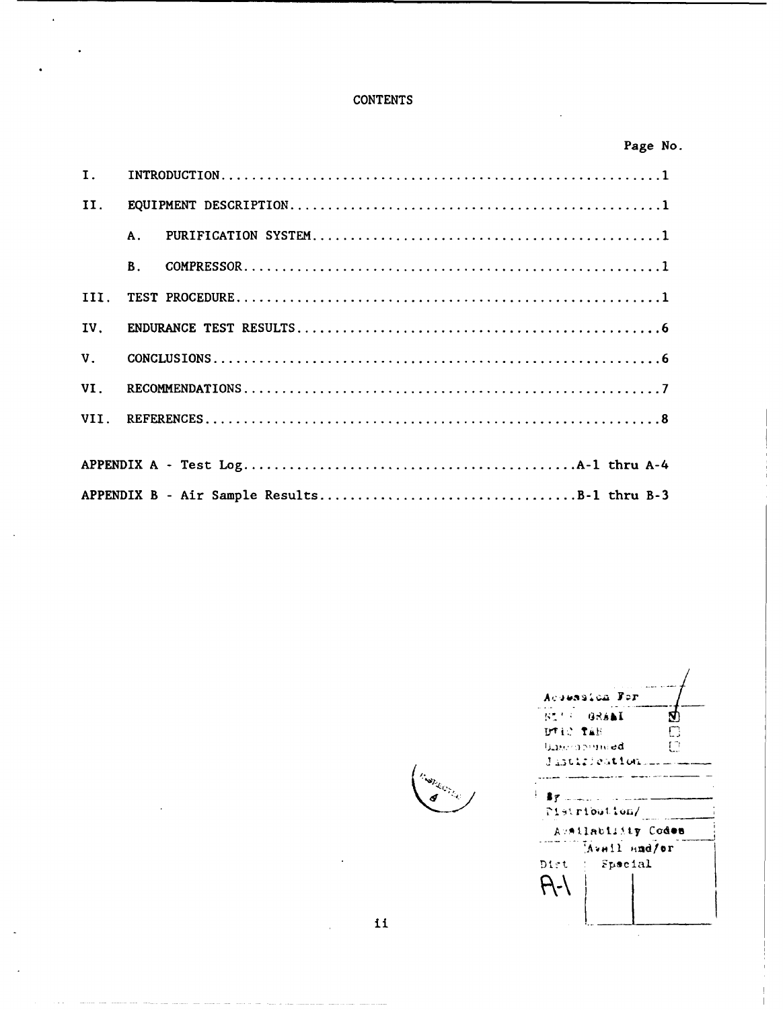# **CONTENTS**

 $\hat{\mathbf{r}}$ 

|                |           |                                             | Page No. |  |
|----------------|-----------|---------------------------------------------|----------|--|
| $\mathbf{I}$ . |           |                                             |          |  |
| II.            |           |                                             |          |  |
|                | A.        |                                             |          |  |
|                | <b>B.</b> |                                             |          |  |
| III.           |           |                                             |          |  |
| IV.            |           |                                             |          |  |
| V <sub>1</sub> |           |                                             |          |  |
| VI.            |           |                                             |          |  |
|                |           |                                             |          |  |
|                |           |                                             |          |  |
|                |           |                                             |          |  |
|                |           | APPENDIX B - Air Sample ResultsB-1 thru B-3 |          |  |

Acoussica For  $52.5$ GRAAI Ø  $\overline{\overline{\mathbb{C}}}$ DTIC TAB **Gase openied**  $\overline{C}$ Jastification  $By$  ......... Pistribution/ Aveilablisty Codes Avail and/or Dist  $\therefore$  Special  $A-1$ 

 $\lambda$ 

 $\mathbf i$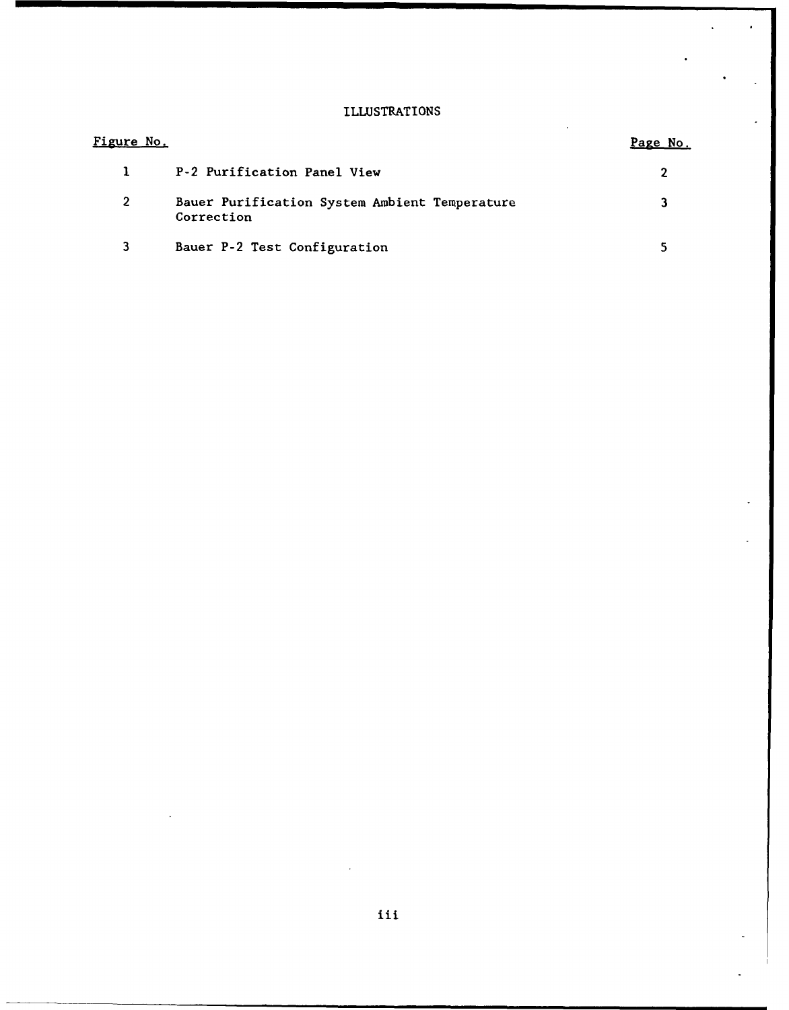# ILLUSTRATIONS

l.

| <u>Figure No.</u> |                                                             | Page No. |
|-------------------|-------------------------------------------------------------|----------|
| $\mathbf{L}$      | P-2 Purification Panel View                                 |          |
| $\mathbf{2}$      | Bauer Purification System Ambient Temperature<br>Correction |          |
|                   | Bauer P-2 Test Configuration                                |          |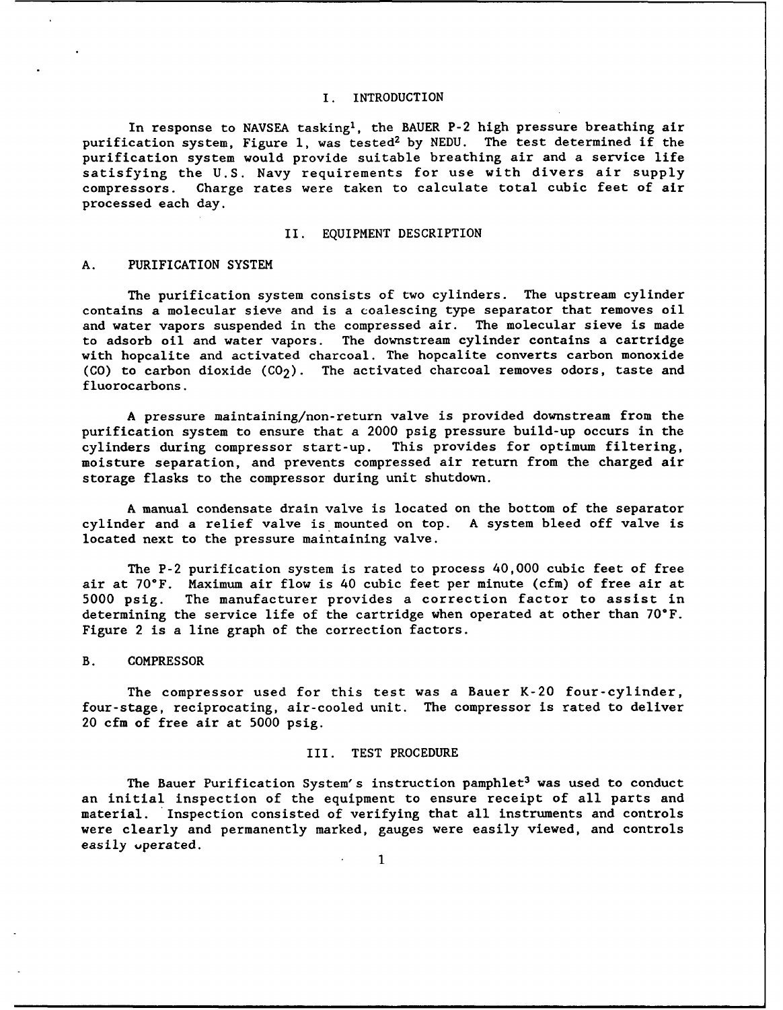### I. INTRODUCTION

In response to NAVSEA tasking', the BAUER P-2 high pressure breathing air purification system, Figure 1, was tested<sup>2</sup> by NEDU. The test determined if the purification system would provide suitable breathing air and a service life satisfying the U.S. Navy requirements for use with divers air supply compressors. Charge rates were taken to calculate total cubic feet of air processed each day.

### II. EQUIPMENT DESCRIPTION

### A. PURIFICATION SYSTEM

The purification system consists of two cylinders. The upstream cylinder contains a molecular sieve and is a coalescing type separator that removes oil and water vapors suspended in the compressed air. The molecular sieve is made to adsorb oil and water vapors. The downstream cylinder contains a cartridge with hopcalite and activated charcoal. The hopcalite converts carbon monoxide (CO) to carbon dioxide  $(CO<sub>2</sub>)$ . The activated charcoal removes odors, taste and fluorocarbons.

A pressure maintaining/non-return valve is provided downstream from the purification system to ensure that a 2000 psig pressure build-up occurs in the cylinders during compressor start-up. This provides for optimum filtering, moisture separation, and prevents compressed air return from the charged air storage flasks to the compressor during unit shutdown.

A manual condensate drain valve is located on the bottom of the separator cylinder and a relief valve is mounted on top. A system bleed off valve is located next to the pressure maintaining valve.

The P-2 purification system is rated to process 40,000 cubic feet of free air at 70°F. Maximum air flow is 40 cubic feet per minute (cfm) of free air at 5000 psig. The manufacturer provides a correction factor to assist in determining the service life of the cartridge when operated at other than 70°F. Figure 2 is a line graph of the correction factors.

### B. COMPRESSOR

The compressor used for this test was a Bauer K-20 four-cylinder, four-stage, reciprocating, air-cooled unit. The compressor is rated to deliver 20 cfm of free air at 5000 psig.

### III. TEST PROCEDURE

The Bauer Purification System's instruction pamphlet<sup>3</sup> was used to conduct an initial inspection of the equipment to ensure receipt of all parts and material. Inspection consisted of verifying that all instruments and controls were clearly and permanently marked, gauges were easily viewed, and controls easily uperated.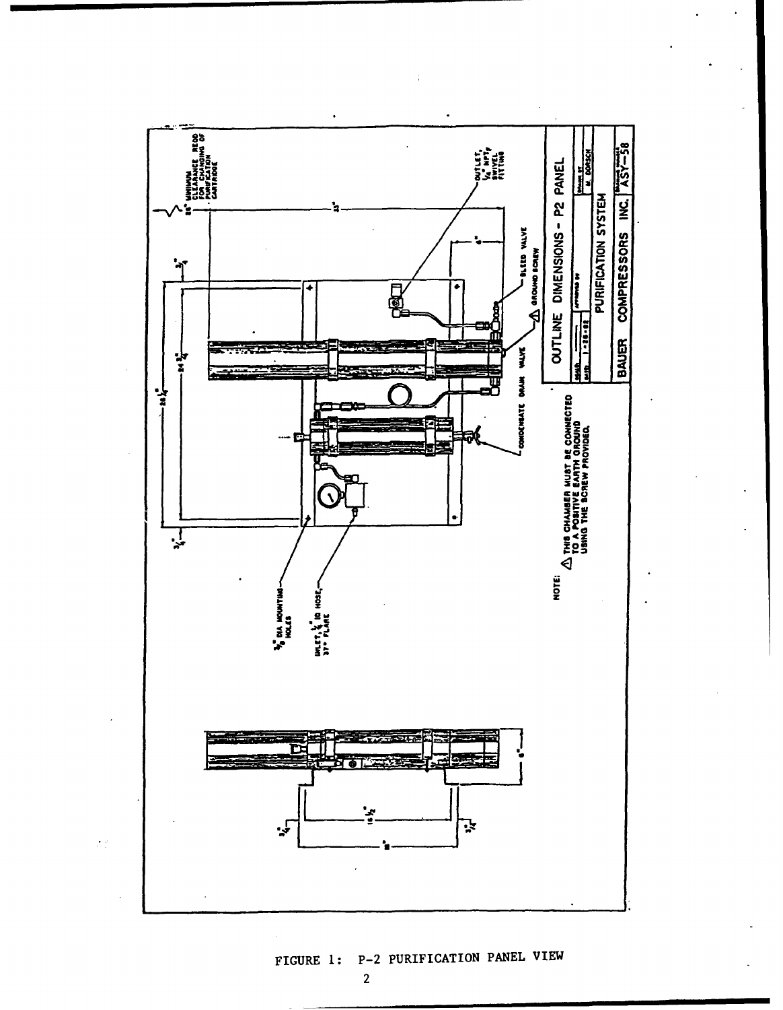

# FIGURE 1: P-2 PURIFICATION PANEL VIEW

 $\overline{2}$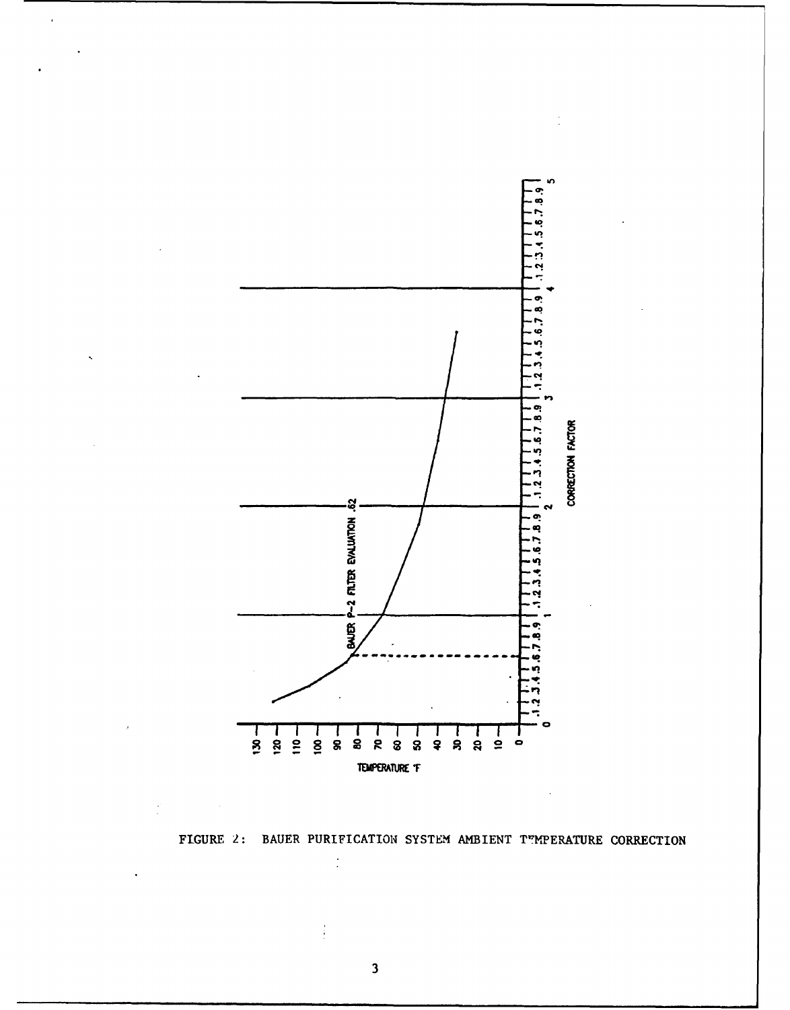

FIGURE 2: BAUER PURIFICATION SYSTEM AMBIENT TEMPERATURE CORRECTION

 $\overline{\mathbf{3}}$ 

 $\cdot$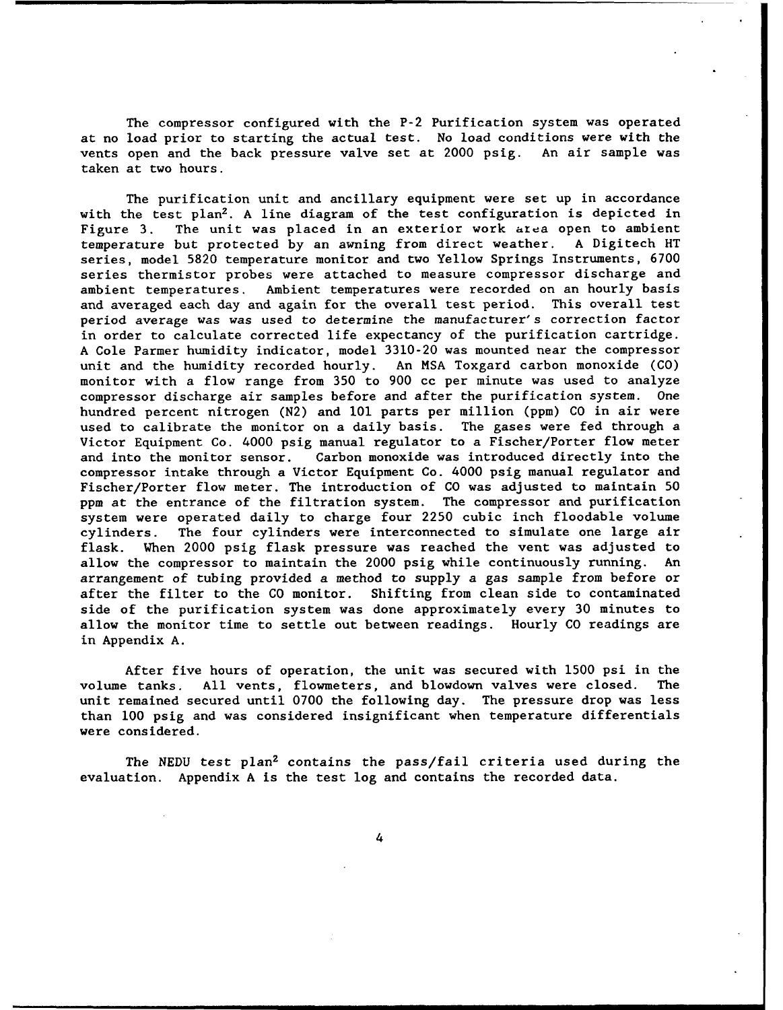The compressor configured with the P-2 Purification system was operated at no load prior to starting the actual test. No load conditions were with the vents open and the back pressure valve set at 2000 psig. An air sample was taken at two hours.

The purification unit and ancillary equipment were set up in accordance with the test  $plan^2$ . A line diagram of the test configuration is depicted in Figure 3. The unit was placed in an exterior work area open to ambient temperature but protected by an awning from direct weather. A Digitech HT series, model 5820 temperature monitor and two Yellow Springs Instruments, 6700 series thermistor probes were attached to measure compressor discharge and ambient temperatures. Ambient temperatures were recorded on an hourly basis and averaged each day and again for the overall test period. This overall test period average was was used to determine the manufacturer's correction factor in order to calculate corrected life expectancy of the purification cartridge. A Cole Parmer humidity indicator, model 3310-20 was mounted near the compressor unit and the humidity recorded hourly. An MSA Toxgard carbon monoxide (CO) monitor with a flow range from 350 to 900 cc per minute was used to analyze compressor discharge air samples before and after the purification system. One hundred percent nitrogen (N2) and **101** parts per million (ppm) CO in air were used to calibrate the monitor on a daily basis. The gases were fed through a Victor Equipment Co. 4000 psig manual regulator to a Fischer/Porter flow meter and into the monitor sensor. Carbon monoxide was introduced directly into the compressor intake through a Victor Equipment Co. 4000 psig manual regulator and Fischer/Porter flow meter. The introduction of CO was adjusted to maintain 50 ppm at the entrance of the filtration system. The compressor and purification system were operated daily to charge four 2250 cubic inch floodable volume cylinders. The four cylinders were interconnected to simulate one large air flask. When 2000 psig flask pressure was reached the vent was adjusted to allow the compressor to maintain the 2000 psig while continuously running. An arrangement of tubing provided a method to supply a gas sample from before or after the filter to the CO monitor. Shifting from clean side to contaminated side of the purification system was done approximately every 30 minutes to allow the monitor time to settle out between readings. Hourly CO readings are in Appendix A.

After five hours of operation, the unit was secured with 1500 psi in the volume tanks. All vents, flowmeters, and blowdown valves were closed. The unit remained secured until 0700 the following day. The pressure drop was less than **100** psig and was considered insignificant when temperature differentials were considered.

The **NEDU** test plan2 contains the pass/fail criteria used during the evaluation. Appendix A is the test log and contains the recorded data.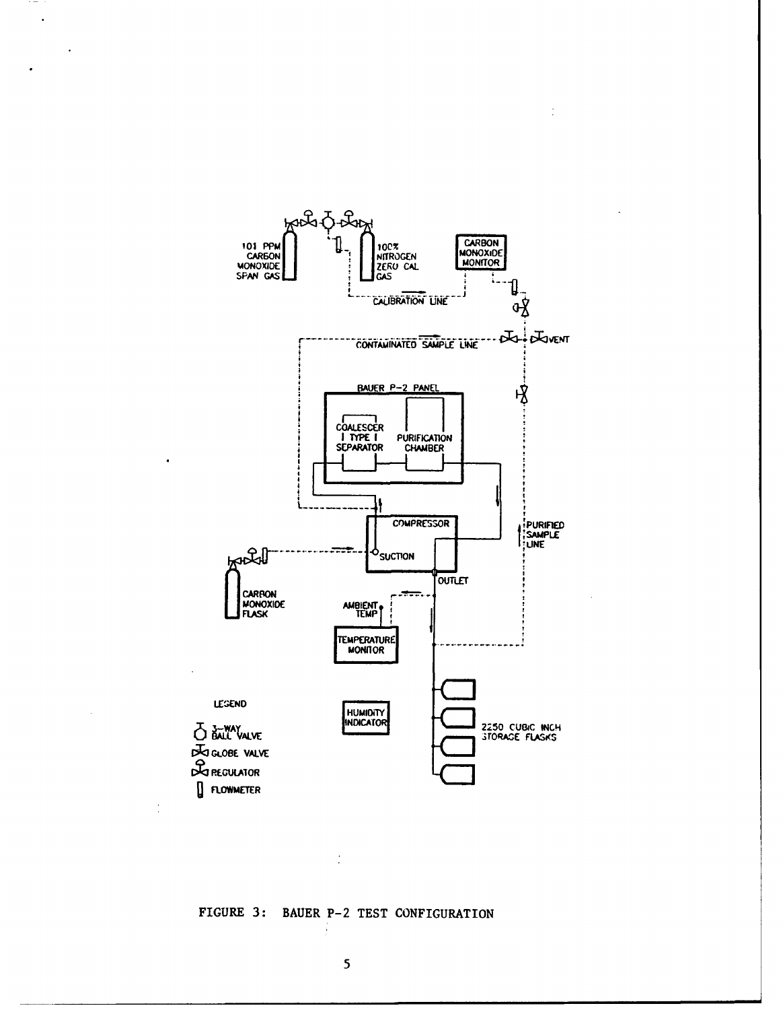

ċ

 $\bar{\phantom{a}}$ 

 $\ddot{\phantom{a}}$ 

FIGURE 3: BAUER P-2 TEST CONFIGURATION

÷

 $\frac{1}{2}$ 

5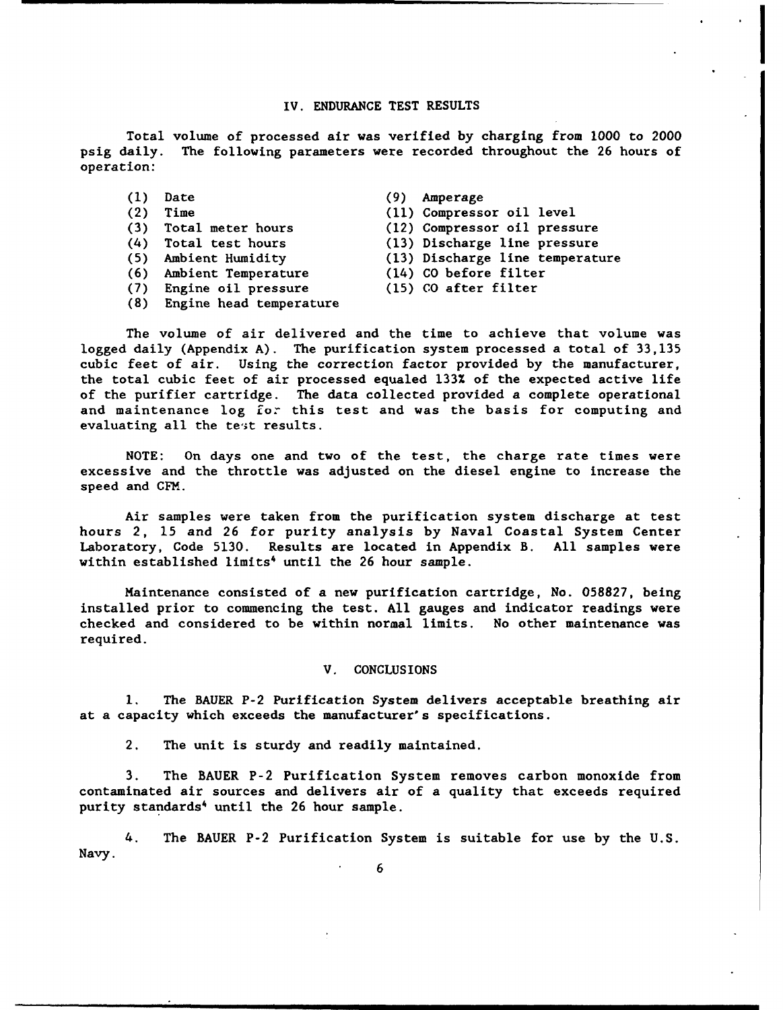### IV. **ENDURANCE TEST RESULTS**

Total volume of processed air was verified **by** charging from **1000** to 2000 psig daily. The following parameters were recorded throughout the 26 hours of operation:

- **(1)** Date **(9)** Amperage
- 
- 
- (4) Total test hours (13) Discharge line pressure
- 
- **(6)** Ambient Temperature (14) **CO** before filter
- 
- (7) Engine oil pressure (15) **CO** after filter
- (2) Time **(11)** Compressor oil level
- **(3)** Total meter hours (12) Compressor oil pressure
	-
- **(5)** Ambient Humidity (13) Discharge line temperature
	-
	-
	-
- **(8)** Engine head temperature

The volume of air delivered and the time to achieve that volume was logged daily (Appendix **A).** The purification system processed a total of 33,135 cubic feet of air. Using the correction factor provided by the manufacturer, the total cubic feet of air processed equaled 133% of the expected active life of the purifier cartridge. The data collected provided a complete operational and maintenance log **for** this test and was the basis for computing and evaluating all the test results.

NOTE: On days one and two of the test, the charge rate times were excessive and the throttle was adjusted on the diesel engine to increase the speed and CFM.

Air samples were taken from the purification system discharge at test hours 2, 15 and 26 for purity analysis by Naval Coastal System Center Laboratory, Code 5130. Results are located in Appendix B. All samples were within established limits<sup>4</sup> until the 26 hour sample.

Maintenance consisted of a new purification cartridge, No. 058827, being installed prior to commencing the test. All gauges and indicator readings were checked and considered to be within normal limits. No other maintenance was required.

### V. CONCLUSIONS

**1.** The BAUER P-2 Purification System delivers acceptable breathing air at a capacity which exceeds the manufacturer's specifications.

2. The unit is sturdy and readily maintained.

3. The BAUER P-2 Purification System removes carbon monoxide from contaminated air sources and delivers air of a quality that exceeds required purity standards<sup>4</sup> until the 26 hour sample.

4. The BAUER P-2 Purification System is suitable for use by the U.S. Navy.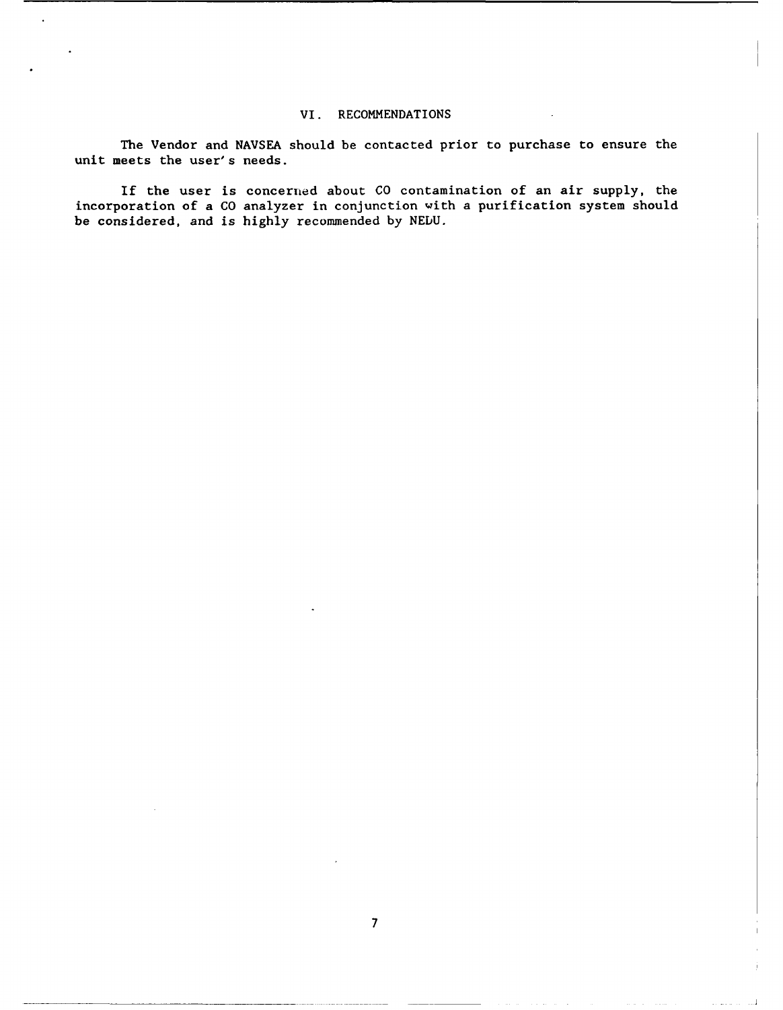### VI. RECOMMENDATIONS

The Vendor and NAVSEA should be contacted prior to purchase to ensure the unit meets the user's needs.

If the user is concerned about CO contamination of an air supply, the incorporation of a CO analyzer in conjunction with a purification system should be considered, and is highly recommended by NEDU.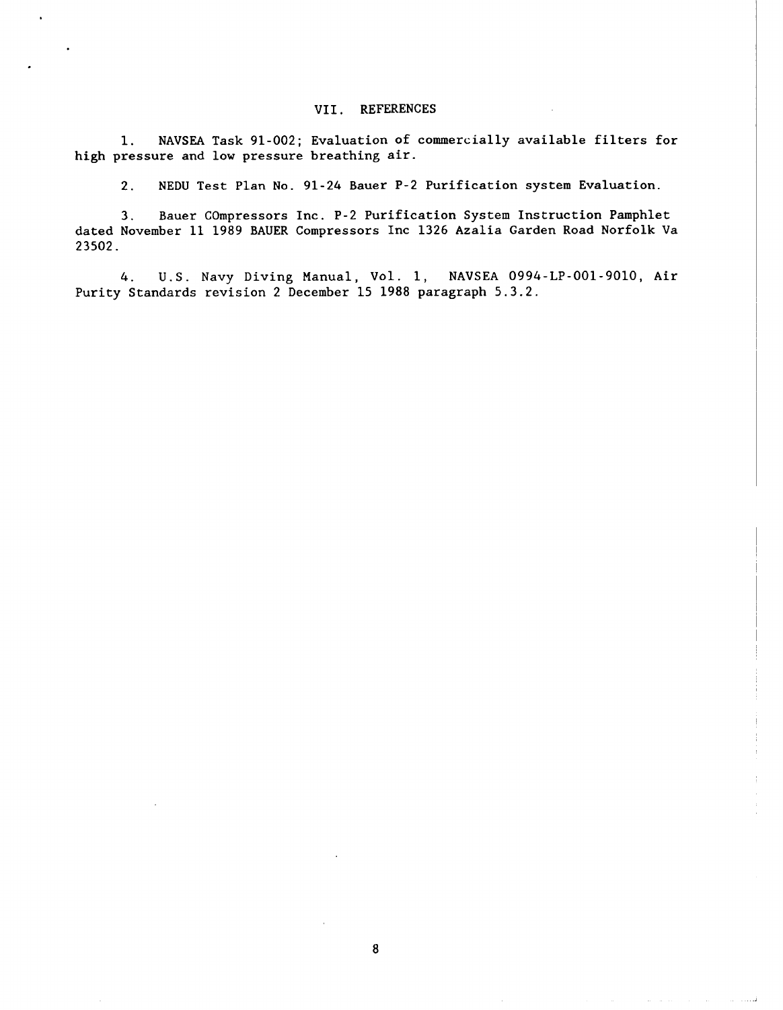### VII. **REFERENCES**

**1.** NAVSEA Task 91-002; Evaluation of commercially available filters for high pressure and low pressure breathing air.

2. NEDU Test Plan No. 91-24 Bauer P-2 Purification system Evaluation.

3. Bauer COmpressors Inc. P-2 Purification System Instruction Pamphlet dated November **11** 1989 BAUER Compressors Inc 1326 Azalia Garden Road Norfolk Va 23502.

4. U.S. Navy Diving Manual, Vol. **1,** NAVSEA 0994-LP-001-9010, Air Purity Standards revision 2 December 15 1988 paragraph 5.3.2.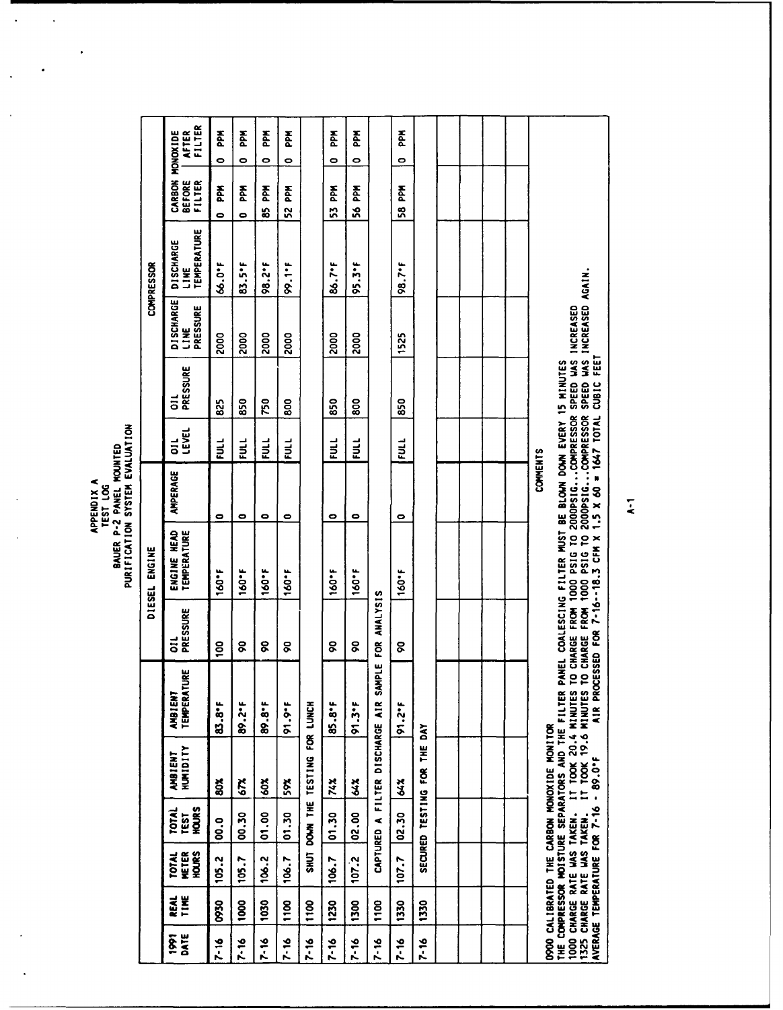APPENDIX A<br>BAUER P-2 PANEL MOUNTED<br>PURIFICATION SYSTEM EVALUATION

 $\lambda_{\rm{max}}$ 

 $\cdot$ 

 $\overline{\phantom{a}}$ 

l,

 $\ddot{\phantom{a}}$ 

 $\ddot{\phantom{0}}$ 

|              |              |                                              |                                      |                                             |                                                                                                                                                                                                                                                                                           |               | DIESEL ENGINE              |                 |               |               |                                      | COMPRESSOR                                     |                                          |                                 |            |
|--------------|--------------|----------------------------------------------|--------------------------------------|---------------------------------------------|-------------------------------------------------------------------------------------------------------------------------------------------------------------------------------------------------------------------------------------------------------------------------------------------|---------------|----------------------------|-----------------|---------------|---------------|--------------------------------------|------------------------------------------------|------------------------------------------|---------------------------------|------------|
| DATE<br>issi | TIME<br>REAL | <b>HOURS</b><br><b>METER</b><br><b>TOTAL</b> | <b>HOURS</b><br>TOTAL<br><b>TEST</b> | <b>HUMIDITY</b><br>AMBIENT                  | 빘<br><b>TEMPERATU</b><br><b>AMBIENT</b>                                                                                                                                                                                                                                                   | PRESSURE<br>ត | ENGINE HEAD<br>TEMPERATURE | <b>AMPERAGE</b> | LEVEL<br>Ξ    | PRESSURE<br>ត | <b>DISCHARGE</b><br>PRESSURE<br>LINE | <b>TEMPERATURE</b><br><b>DISCHARGE</b><br>LINE | <b>CARBON</b><br><b>BEFORE</b><br>FILTER | <b>MONOXIDE</b><br><b>AFTER</b> | FILTER     |
| $7 - 16$     | 0560         | 105.2                                        | o.o                                  | ã                                           | 83.8°F                                                                                                                                                                                                                                                                                    | S0            | 160°F                      | 0               | FULL          | 825           | 2000                                 | <b>54.0°F</b>                                  | 좂<br>$\bullet$                           | $\bullet$                       | 좂          |
| 7.16         | <b>1000</b>  | 105.7                                        | <b>00.30</b>                         | 67.                                         | 89.2°F                                                                                                                                                                                                                                                                                    | ငွ            | 160°F                      | ۰               | FULL          | 850           | 2000                                 | 83.5°F                                         | 좂<br>$\bullet$                           | $\bullet$                       | <b>Add</b> |
| 7-16         | 1030         | 106.2                                        | 01.00                                | \$02                                        | 89.8°F                                                                                                                                                                                                                                                                                    | g             | 160°F                      | 0               | FULL          | 750           | 2000                                 | 98.2°F                                         | 줄<br>s.                                  | o                               | <b>Add</b> |
| $7 - 16$     | 1100         | 106.7                                        | 01.30                                | ŠÃ                                          | 91.9.7                                                                                                                                                                                                                                                                                    | ငွ            | 160°F                      | ۰               | EULL          | ខ្លី          | 2000                                 | $5.1 - 8$                                      | 52 PPM                                   | ۰                               | 좂          |
| 7-16         | <b>1100</b>  |                                              |                                      | SHUT DOWN THE TESTING FOR LUNCH             |                                                                                                                                                                                                                                                                                           |               |                            |                 |               |               |                                      |                                                |                                          |                                 |            |
| $7 - 16$     | 1230         | 106.7                                        | 01.30                                | 74%                                         | $85.8^{\circ}$ F                                                                                                                                                                                                                                                                          | g             | 160°F                      | 0               | $\frac{1}{2}$ | 850           | 2000                                 | 86.7°F                                         | 좂<br>53                                  | 0                               | 좂          |
| 7-16         | 1300         | 107.2                                        | 02.00                                | 37                                          | 91.3.7                                                                                                                                                                                                                                                                                    | g             | 160°F                      | ۰               | <b>FULL</b>   | 800           | 2000                                 | $95.3$ <sup>*</sup>                            | 좂<br>ន្ថ                                 | o                               | 준          |
| $7 - 16$     | <b>1100</b>  |                                              |                                      | CAPTURED A FILTER DISCHARGE AIR SAM         | ب<br>ما                                                                                                                                                                                                                                                                                   | FOR ANALYSIS  |                            |                 |               |               |                                      |                                                |                                          |                                 |            |
| $7 - 16$     | 1330         | 107.7                                        | 02.30                                | <b>84%</b>                                  | 91.2"                                                                                                                                                                                                                                                                                     | g             | 160.15                     | 0               | FULL          | <b>S50</b>    | 1525                                 | 98.7'F                                         | <b>S8 PPM</b>                            | 0                               | 좂          |
| $7 - 16$     | 1330         |                                              |                                      | SECURED TESTING FOR THE DAY                 |                                                                                                                                                                                                                                                                                           |               |                            |                 |               |               |                                      |                                                |                                          |                                 |            |
|              |              |                                              |                                      |                                             |                                                                                                                                                                                                                                                                                           |               |                            |                 |               |               |                                      |                                                |                                          |                                 |            |
|              |              |                                              |                                      |                                             |                                                                                                                                                                                                                                                                                           |               |                            |                 |               |               |                                      |                                                |                                          |                                 |            |
|              |              |                                              |                                      |                                             |                                                                                                                                                                                                                                                                                           |               |                            |                 |               |               |                                      |                                                |                                          |                                 |            |
|              |              |                                              |                                      |                                             |                                                                                                                                                                                                                                                                                           |               |                            |                 |               |               |                                      |                                                |                                          |                                 |            |
|              |              |                                              |                                      | 0900 CALIBRATED THE CARBON MONOXIDE MONITOR | THE COMPRESSOR MOISTURE SEPARATORS AND THE FILTER PANEL COALESCING FILTER MUST BE BLOWN DOWN EVERY 15 MINUTES                                                                                                                                                                             |               |                            | COMMENTS        |               |               |                                      |                                                |                                          |                                 |            |
|              |              | 1325 CHARGE RATE WAS TAKEN.                  |                                      | AVERAGE TEMPERATURE FOR 7-16 - 89.0°F       | IT TOOK 19.6 MINUTES TO CHARGE FROM 1000 PSIG TO 2000PSIGCOMPRESSOR SPEED WAS INCREASED AGAIN.<br>- - 89.0*F       AIR PROCESSED FOR 7-16--18.3 CFM X 1.5 X 60 = 1647 TOTAL CUBIC FEET<br>1000 CHARGE RATE WAS TAKEN. IT TOOK 20.4 MINUTES TO CHARGE FROM 1000 PSIG TO 2000PSIGCOMPRESSOR |               |                            |                 |               |               | SPEED WAS INCREASED                  |                                                |                                          |                                 |            |

 $\ddot{\cdot}$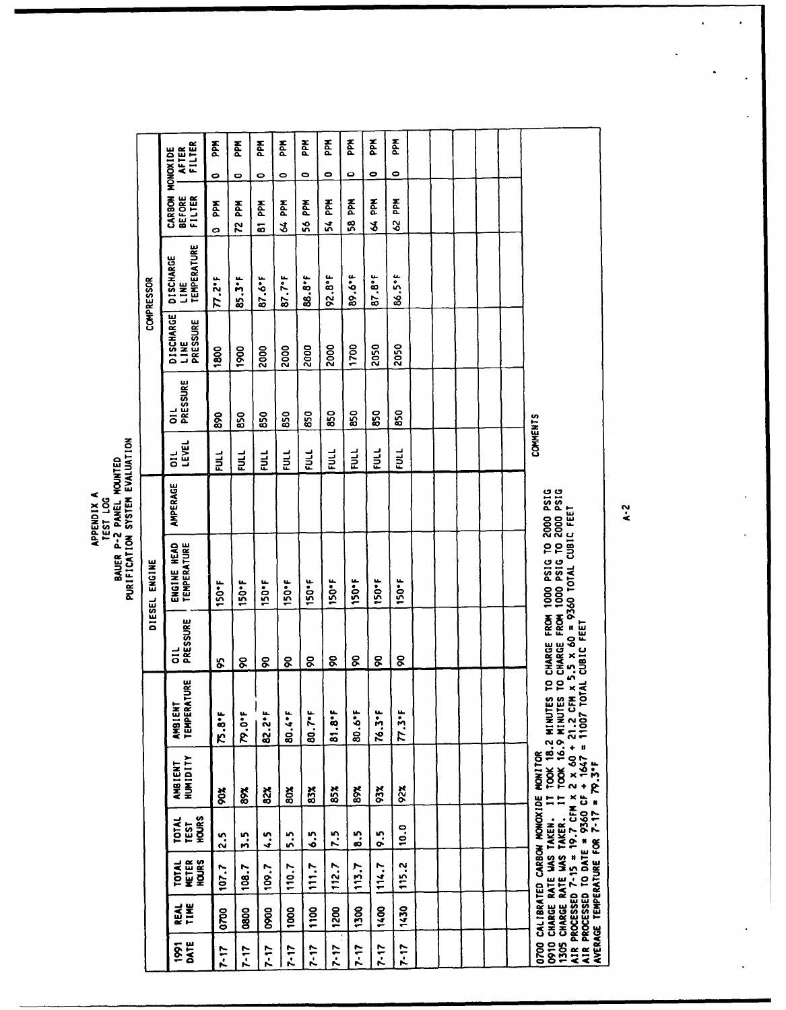APPENDIX A<br>BAUER P-2 PANEL MOUNTED<br>PURIFICATION SYSTEM EVALUATION

|              |              |                                       |                                      |                                                             |                                                                                                                                                                                                                             |                 | DIESEL ENGINE                                                                                                    |          |                          |               |                                      | <b>COMPRESSOR</b>                              |                                             |           |            |
|--------------|--------------|---------------------------------------|--------------------------------------|-------------------------------------------------------------|-----------------------------------------------------------------------------------------------------------------------------------------------------------------------------------------------------------------------------|-----------------|------------------------------------------------------------------------------------------------------------------|----------|--------------------------|---------------|--------------------------------------|------------------------------------------------|---------------------------------------------|-----------|------------|
| DATE<br>1881 | TIME<br>REAL | <b>HOURS</b><br>METER<br><b>TOTAL</b> | HOURS<br><b>TOTAL</b><br><b>TEST</b> | <b>HUMIDITY</b><br>AMBIENT                                  | <b>TEMPERATURI</b><br><b>AMBIENT</b>                                                                                                                                                                                        | OIL<br>PRESSURE | ENGINE HEAD<br>TEMPERATURE                                                                                       | AMPERAGE | <b>LEVEL</b><br>11<br>10 | PRESSURE<br>ដ | <b>DISCHARGE</b><br>PRESSURE<br>LINE | <b>TEMPERATURE</b><br><b>DISCHARGE</b><br>LINE | CARBON MONOXIDE<br>BEFORE   AFTER<br>FILTER |           | FILTER     |
| $7 - 17$     | 0700         | 107.7                                 | 2.5                                  | <b>Soc</b>                                                  | $75.8 +$                                                                                                                                                                                                                    | Ş,              | 150°F                                                                                                            |          | $\frac{1}{2}$            | 88            | 1800                                 | 77.27                                          | <b>Agd</b><br>$\bullet$                     | 0         | 졼          |
| $7 - 17$     | 800          | 108.7                                 | 5.5                                  | 8X                                                          | 79.0°F                                                                                                                                                                                                                      | 8               | 150°F                                                                                                            |          | $\frac{1}{2}$            | 850           | 1900                                 | $85.3^{\circ}$ F                               | 좂<br>52                                     | ۰         | Mdd        |
| $7 - 17$     | 880          | 109.7                                 | د.<br>په                             | 82%                                                         | 82.2°F                                                                                                                                                                                                                      | g               | 150°F                                                                                                            |          | FULL                     | 850           | 2000                                 | $87.6^{\circ}$                                 | 좀<br>ឆ                                      | o         | 좂          |
| $7 - 17$     | 1000         | 110.7                                 | 5.5                                  | š                                                           | 80.4.F                                                                                                                                                                                                                      | ငွ              | 150°F                                                                                                            |          | $\frac{1}{2}$            | 850           | 2000                                 | $87.7^{\circ}$ F                               | <b>Add</b><br>z                             | 0         | 좂          |
| $7 - 17$     | 1100         | 111.7                                 | د.<br>ه                              | 83%                                                         | 80.7°F                                                                                                                                                                                                                      | g               | 150°F                                                                                                            |          | EUL                      | 850           | 2000                                 | 88.8°F                                         | PPN<br>S6                                   | 0         | <b>Mdd</b> |
| $7 - 17$     | 1200         | 112.7                                 | 7.5                                  | 85%                                                         | 81.8                                                                                                                                                                                                                        | g               | 150°F                                                                                                            |          | ยี                       | 850           | 2000                                 | $92.8^{\circ}$                                 | Ř<br><u>รี</u>                              | 0         | Æ          |
| $7 - 17$     | 1300         | 113.7                                 | ະ                                    | 8X                                                          | <b>BD.6°F</b>                                                                                                                                                                                                               | ୡ               | 150*F                                                                                                            |          | $\frac{1}{2}$            | 850           | 1700                                 | 89.6°F                                         | <b>Add</b><br>စ္တ                           | 0         | <b>Add</b> |
| $7 - 17$     | 1400         | 114.7                                 | ις.                                  | 93%                                                         | $76.3 - F$                                                                                                                                                                                                                  | g               | 150°F                                                                                                            |          | $\frac{1}{2}$            | 850           | 2050                                 | $87.8^{\circ}$                                 | 좂<br>ž                                      | ۰         | <b>PAS</b> |
| $7 - 17$     | 1430         | 115.2                                 | 10.0                                 | 92%                                                         | $77.3 + 5$                                                                                                                                                                                                                  | 8               | 150°F                                                                                                            |          | EULL                     | 850           | 2050                                 | 86.5°F                                         | PPM<br>8                                    | $\bullet$ | <b>PPM</b> |
|              |              |                                       |                                      |                                                             |                                                                                                                                                                                                                             |                 |                                                                                                                  |          |                          |               |                                      |                                                |                                             |           |            |
|              |              |                                       |                                      |                                                             |                                                                                                                                                                                                                             |                 |                                                                                                                  |          |                          |               |                                      |                                                |                                             |           |            |
|              |              |                                       |                                      |                                                             |                                                                                                                                                                                                                             |                 |                                                                                                                  |          |                          |               |                                      |                                                |                                             |           |            |
|              |              |                                       |                                      |                                                             |                                                                                                                                                                                                                             |                 |                                                                                                                  |          |                          |               |                                      |                                                |                                             |           |            |
|              |              |                                       |                                      |                                                             |                                                                                                                                                                                                                             |                 |                                                                                                                  |          |                          |               |                                      |                                                |                                             |           |            |
|              |              |                                       | AVERAGE TEMPERATURE FOR 7-17         | O700 CALIBRATED CARBON MONOXIDE MONITOR<br>$= 79.3^{\circ}$ | O910 CHARGE RATE WAS TAKEN. IT TOOK 18.2 MINUTES TO<br>1305 CHARGE RATE WAS TAKER. IT TOOK 16.9 MINUTES TO<br>AIR PROCESSED 7-15 = 19.7 CFM x 2 x 60 + 21.2 CFM x 1<br>AIR PROCESSED TO DATE = 9360 CF + 1647 = 11007 TOTAL | CUBIC FEET      | ) CHARGE FROM 1000 PSIG TO 2000 PSIG<br>) CHARGE FROM 1000 PSIG TO 2000 PSIG<br>5.5 x 60 = 9360 TOTAL CUBIC FEET |          | <b>COMMENTS</b>          |               |                                      |                                                |                                             |           |            |

 $k - 2$ 

 $\ddot{\phantom{0}}$ 

.

 $\ddot{\phantom{0}}$ 

 $\ddot{\phantom{0}}$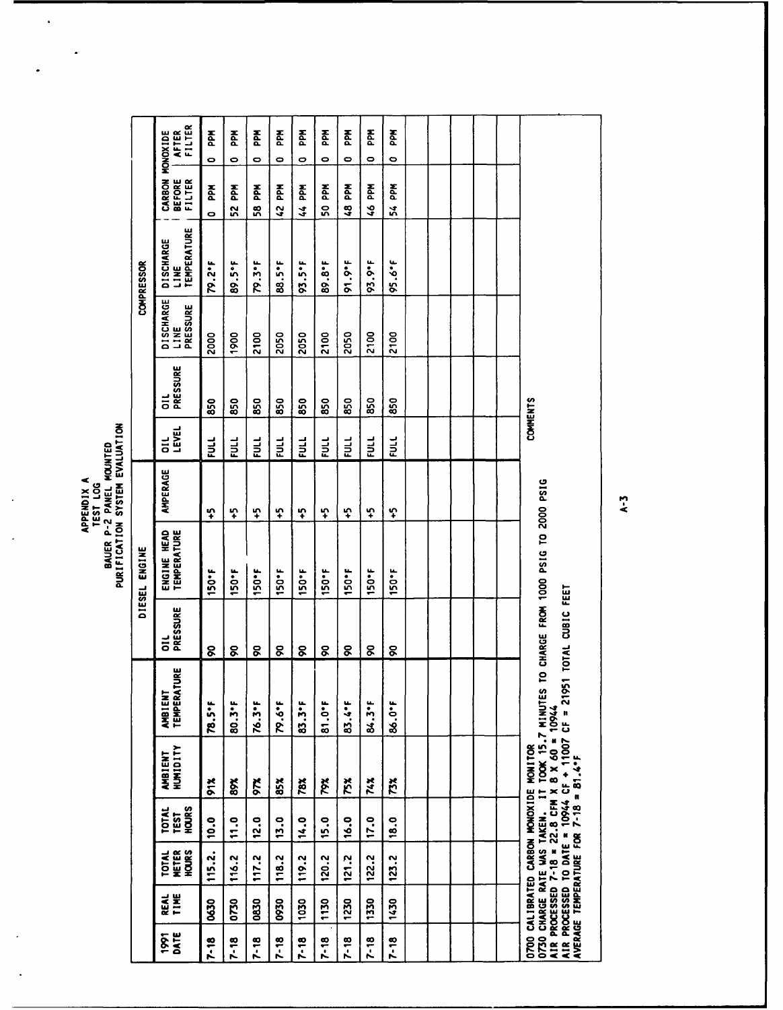# APPENDIX A<br>BAUER P-2 PANEL MOUNTED<br>PURIFICATION SYSTEM EVALUATION

 $\ddot{\phantom{a}}$ 

 $\ddot{\phantom{1}}$ 

 $\ddot{\phantom{a}}$ 

 $\frac{1}{\sqrt{2}}\sum_{i=1}^{n} \frac{1}{\sqrt{2}}\sum_{i=1}^{n} \frac{1}{\sqrt{2}}\sum_{i=1}^{n} \frac{1}{\sqrt{2}}\sum_{i=1}^{n} \frac{1}{\sqrt{2}}\sum_{i=1}^{n} \frac{1}{\sqrt{2}}\sum_{i=1}^{n} \frac{1}{\sqrt{2}}\sum_{i=1}^{n} \frac{1}{\sqrt{2}}\sum_{i=1}^{n} \frac{1}{\sqrt{2}}\sum_{i=1}^{n} \frac{1}{\sqrt{2}}\sum_{i=1}^{n} \frac{1}{\sqrt{2}}\sum_{i=1}^{n}$ 

|                     |           |                                       |                                      |                                                                                                                                                                                                                                                 |                                      |                  | DIESEL ENGINE                        |          |                    |               |                               | COMPRESSOR                              |                                   |                                           |
|---------------------|-----------|---------------------------------------|--------------------------------------|-------------------------------------------------------------------------------------------------------------------------------------------------------------------------------------------------------------------------------------------------|--------------------------------------|------------------|--------------------------------------|----------|--------------------|---------------|-------------------------------|-----------------------------------------|-----------------------------------|-------------------------------------------|
| DATE<br><b>issi</b> | Ë<br>REAL | HOURS<br><b>METER</b><br><b>TOTAL</b> | HOURS<br><b>TOTAL</b><br><b>TEST</b> | <b>HUMIDITY</b><br>AMBIENT                                                                                                                                                                                                                      | <b>TEMPERATURE</b><br><b>AMBIENT</b> | PRESSURE<br>ត    | ENGINE HEAD<br>TEMPERATURE           | AMPERAGE | LEVEL<br>$\vec{a}$ | PRESSURE<br>Ξ | DISCHARGE<br>PRESSURE<br>LINE | TEMPERATURE<br><b>DISCHARGE</b><br>LINE | CARBON<br><b>BEFORE</b><br>FILTER | FILTER<br><b>MONOXIDE</b><br><b>AFTER</b> |
| $7 - 18$            | 0630      | 115.2.                                | 10.0                                 | 81%                                                                                                                                                                                                                                             | 78.5°F                               | 8                | 150°F                                | င္       | EUL                | 850           | 2000                          | 79.2°F                                  | Ädd<br>$\bullet$                  | <b>Add</b><br>$\bullet$                   |
| $7 - 18$            | 0730      | 116.2                                 | 11.0                                 | 8X                                                                                                                                                                                                                                              | 80.3°F                               | 8                | 150*F                                | င္       | EUL                | 850           | 1900                          | 89.5°F                                  | 좂<br>X                            | 좂<br>0                                    |
| $7 - 18$            | 0830      | 117.2                                 | 12.0                                 | X                                                                                                                                                                                                                                               | 76.3°F                               | g                | 150°F                                | ្នុ      | $\mathbf{H}$       | 850           | 2100                          | 79.3°F                                  | 좂<br>58                           | 준<br>$\bullet$                            |
| $7 - 18$            | 0930      | 118.2                                 | 13.0                                 | 85 X                                                                                                                                                                                                                                            | 79.6°F                               | g                | 150*F                                | 4        | FULL               | 850           | 2050                          | 88.5°F                                  | 42 PM                             | 졾<br>۰                                    |
| $7 - 18$            | 1030      | 119.2                                 | 14.0                                 | 78%                                                                                                                                                                                                                                             | 83.3°F                               | ୡ                | <b>150°F</b>                         | င္       | $\vec{p}$          | 850           | 2050                          | $93.5^{\circ}$ F                        | <b>Add</b><br>$\frac{4}{3}$       | <b>Add</b><br>0                           |
| $7 - 18$            | 1130      | 120.2                                 | 15.0                                 | Xól                                                                                                                                                                                                                                             | 81.0°F                               | g                | 150°F                                | ဂ္       | $\frac{1}{2}$      | 850           | 2100                          | 89.8°F                                  | ≹d<br>ន្ល                         | 좀<br>0                                    |
| $7 - 18$            | 1230      | 121.2                                 | 16.0                                 | 75%                                                                                                                                                                                                                                             | 83.4°F                               | ୡ                | <b>150°F</b>                         | င္       | FULL               | 850           | 2050                          | 91.9°F                                  | 좁<br>Ş                            | <b>Add</b><br>0                           |
| $7 - 18$            | 1330      | 122.2                                 | 17.0                                 | 74%                                                                                                                                                                                                                                             | 84.3°F                               | 8                | 150°F                                | င္       | EUL                | 850           | 2100                          | 93.9.F                                  | <b>Add</b><br>$\frac{3}{2}$       | 줄<br>0                                    |
| $7 - 18$            | 1430      | 123.2                                 | 18.0                                 | 73X                                                                                                                                                                                                                                             | 86.0°F                               | g                | 150°F                                | င္       | EUL                | 850           | 2100                          | $95.6^{\circ}$                          | PPM<br>ž                          | <b>Add</b><br>0                           |
|                     |           |                                       |                                      |                                                                                                                                                                                                                                                 |                                      |                  |                                      |          |                    |               |                               |                                         |                                   |                                           |
|                     |           |                                       |                                      |                                                                                                                                                                                                                                                 |                                      |                  |                                      |          |                    |               |                               |                                         |                                   |                                           |
|                     |           |                                       |                                      |                                                                                                                                                                                                                                                 |                                      |                  |                                      |          |                    |               |                               |                                         |                                   |                                           |
|                     |           |                                       |                                      |                                                                                                                                                                                                                                                 |                                      |                  |                                      |          |                    |               |                               |                                         |                                   |                                           |
|                     |           |                                       |                                      |                                                                                                                                                                                                                                                 |                                      |                  |                                      |          |                    |               |                               |                                         |                                   |                                           |
|                     |           |                                       |                                      | AIR PROCESSED TO DATE = 10944 CF + 11007 CF = 21951<br>O730 CHARGE RATE WAS TAKEN. IT TOOK 15.7 MINUTES 1<br>AIR PROCESSED 7-18 = 22.8 CFM X 8 X 60 = 10944<br>0700 CALIBRATED CARBON MONOXIDE MONITOR<br>AVERAGE TEMPERATURE FOR 7-18 = 81.4°F |                                      | TOTAL CUBIC FEET | O CHARGE FROM 1000 PSIG TO 2000 PSIG |          | COMMENTS           |               |                               |                                         |                                   |                                           |

 $A - 3$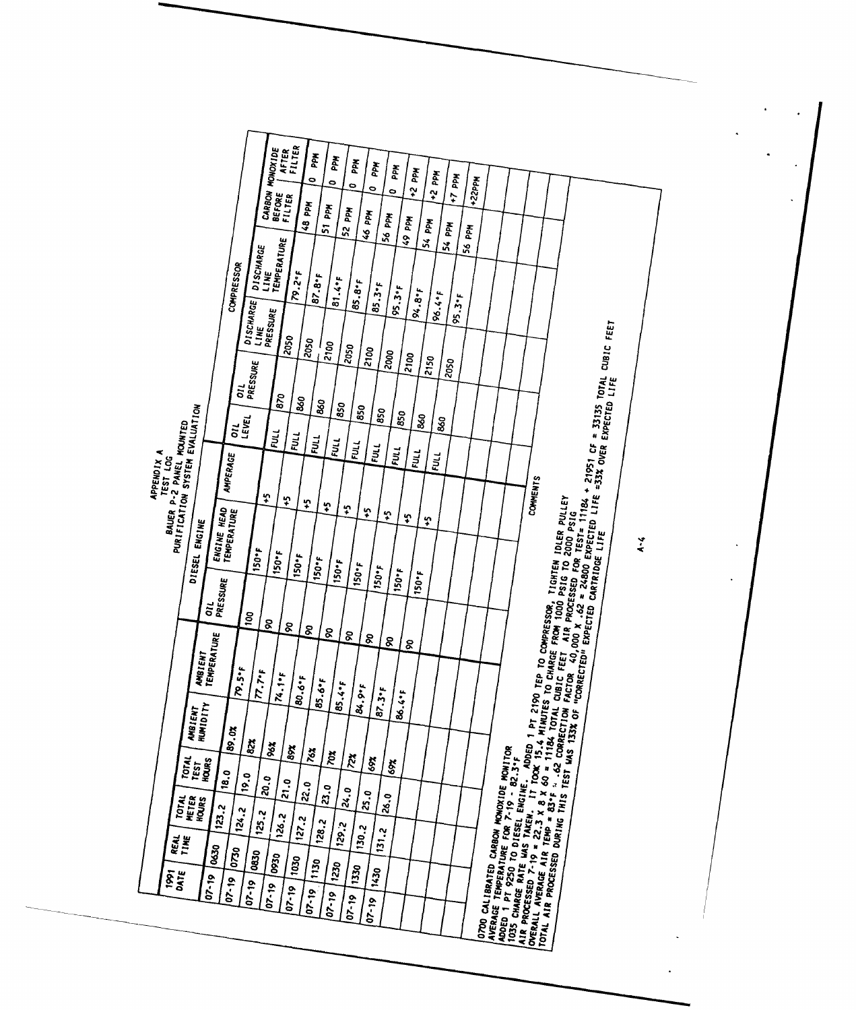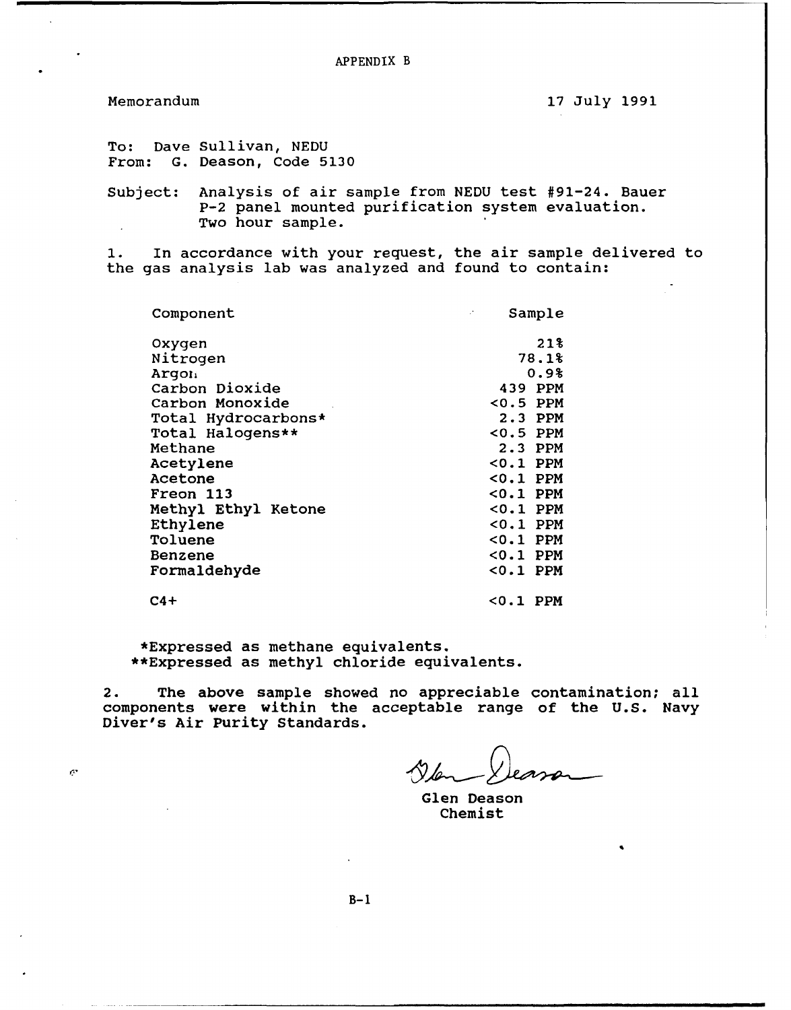APPENDIX B

¢

Memorandum 17 July 1991

To: Dave Sullivan, NEDU From: G. Deason, Code 5130

Subject: Analysis of air sample from NEDU test #91-24. Bauer P-2 panel mounted purification system evaluation. Two hour sample.

**1.** In accordance with your request, the air sample delivered to the gas analysis lab was analyzed and found to contain:

| Component           | $\mathcal{F}$<br>Sample |
|---------------------|-------------------------|
| Oxygen              | 21%                     |
| Nitrogen            | 78.1%                   |
| Argon               | 0.9%                    |
| Carbon Dioxide      | 439 PPM                 |
| Carbon Monoxide     | $0.5$ PPM               |
| Total Hydrocarbons* | 2.3 PPM                 |
| Total Halogens**    | $0.5$ PPM               |
| Methane             | $2.3$ PPM               |
| Acetylene           | $0.1$ PPM               |
| <b>Acetone</b>      | $0.1$ PPM               |
| Freon 113           | $0.1$ PPM               |
| Methyl Ethyl Ketone | $0.1$ PPM               |
| Ethylene            | <0.1 PPM                |
| Toluene             | <0.1 PPM                |
| Benzene             | $0.1$ PPM               |
| Formaldehyde        | $0.1$ PPM               |
| $C4+$               | <0.1 PPM                |

\*Expressed as methane equivalents. \*\*Expressed as methyl chloride equivalents.

2. The above sample showed no appreciable contamination; all components were within the acceptable range of the U.S. Navy Diver's Air Purity Standards.

Glen Deason Chemist

**B-i**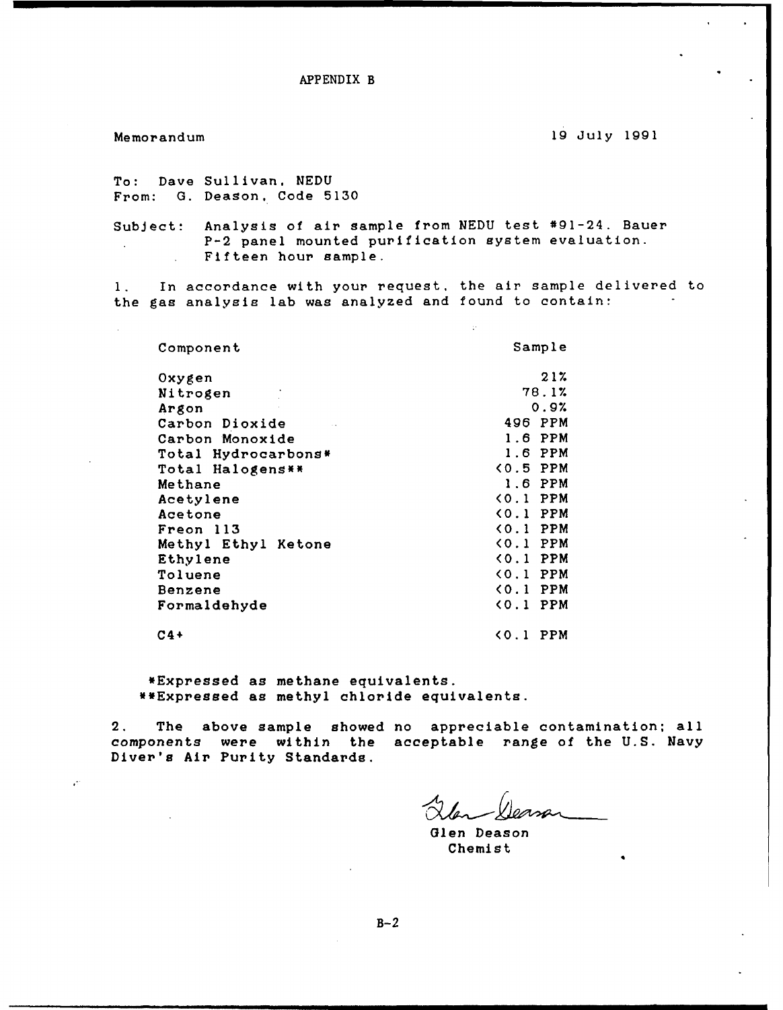APPENDIX B

 $\mathbf{r}$ 

 $\ddot{\cdot}$ 

Memorandum 19 July 1991

To: Dave Sullivan, NEDU From: **G.** Deason. Code 5130

Subject: Analysis of air sample from NEDU test #91-24. Bauer P-2 panel mounted purification system evaluation.  $\mathbf{L}$ Fifteen hour sample.

**1.** In accordance with your request, the air sample delivered to the gas analysis lab was analyzed and found to contain:

 $\mathbb{R}^2$ 

| Component           | Sample                        |
|---------------------|-------------------------------|
| Oxygen              | 21%                           |
| Nitrogen            | 78.1%                         |
| Argon               | 0.9%                          |
| Carbon Dioxide      | 496 PPM                       |
| Carbon Monoxide     | 1.6 PPM                       |
| Total Hydrocarbons* | 1.6 PPM                       |
| Total Halogens**    | $(0.5$ PPM                    |
| Methane             | 1.6 PPM                       |
| Acetylene           | $(0.1)$ PPM                   |
| Acetone             | $(0.1)$ PPM                   |
| Freon 113           | $(0.1)$ PPM                   |
| Methyl Ethyl Ketone | $(0.1)$ PPM                   |
| Ethylene            | <b>&lt;0.1 PPM</b>            |
| Toluene             | $(0.1$ PPM                    |
| Benzene             | $(0.1)$ PPM                   |
| Formaldehyde        | $(0.1)$ PPM                   |
| $C4+$               | PPM<br>$\langle 0, 1 \rangle$ |

\*Expressed as methane equivalents. \*\*Expressed as methyl chloride equivalents.

2. The above sample showed no appreciable contamination: all components were within the acceptable range of the **U.S.** Navy Diver's Air Purity Standards.

Glen Deason Chemist